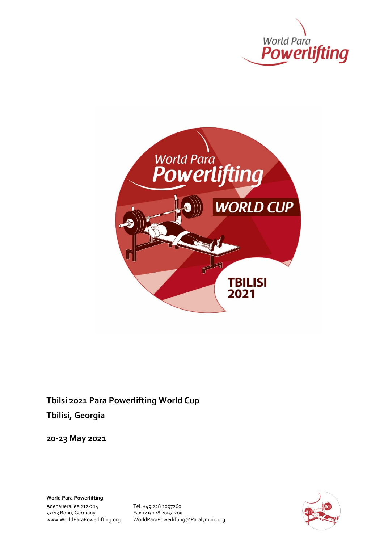



**Tbilsi 2021 Para Powerlifting World Cup Tbilisi, Georgia**

**20-23 May 2021**

**World Para Powerlifting**

Adenauerallee 212-214<br>
53113 Bonn, Germany<br>
Fax +49 228 2097-209 53113 Bonn, Germany Fax +49 228 2097-209

www.WorldParaPowerlifting.org WorldParaPowerlifting@Paralympic.org

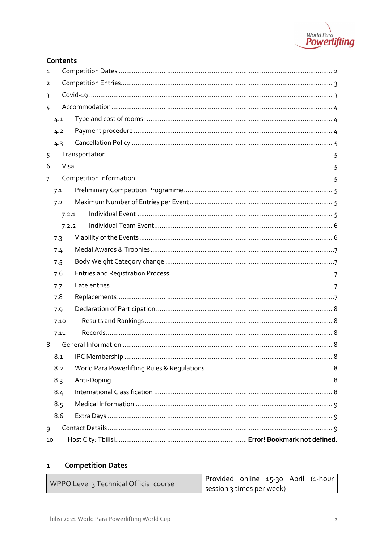

# Contents

| $\mathbf{1}$   |       |  |  |  |  |  |  |
|----------------|-------|--|--|--|--|--|--|
| 2              |       |  |  |  |  |  |  |
| 3              |       |  |  |  |  |  |  |
| 4              |       |  |  |  |  |  |  |
|                | 4.1   |  |  |  |  |  |  |
|                | 4.2   |  |  |  |  |  |  |
|                | 4.3   |  |  |  |  |  |  |
| 5              |       |  |  |  |  |  |  |
| 6              |       |  |  |  |  |  |  |
| $\overline{7}$ |       |  |  |  |  |  |  |
|                | 7.1   |  |  |  |  |  |  |
|                | 7.2   |  |  |  |  |  |  |
|                | 7.2.1 |  |  |  |  |  |  |
|                | 7.2.2 |  |  |  |  |  |  |
|                | 7.3   |  |  |  |  |  |  |
|                | 7.4   |  |  |  |  |  |  |
|                | 7.5   |  |  |  |  |  |  |
|                | 7.6   |  |  |  |  |  |  |
|                | 7.7   |  |  |  |  |  |  |
|                | 7.8   |  |  |  |  |  |  |
|                | 7.9   |  |  |  |  |  |  |
|                | 7.10  |  |  |  |  |  |  |
|                | 7.11  |  |  |  |  |  |  |
| 8              |       |  |  |  |  |  |  |
|                |       |  |  |  |  |  |  |
|                | 8.2   |  |  |  |  |  |  |
|                | 8.3   |  |  |  |  |  |  |
|                | 8.4   |  |  |  |  |  |  |
|                | 8.5   |  |  |  |  |  |  |
|                | 8.6   |  |  |  |  |  |  |
| 9              |       |  |  |  |  |  |  |
| 10             |       |  |  |  |  |  |  |

#### <span id="page-1-0"></span>**Competition Dates**  $\mathbf{1}$

| WPPO Level 3 Technical Official course | Provided online 15-30 April (1-hour |  |  |
|----------------------------------------|-------------------------------------|--|--|
|                                        | session 3 times per week)           |  |  |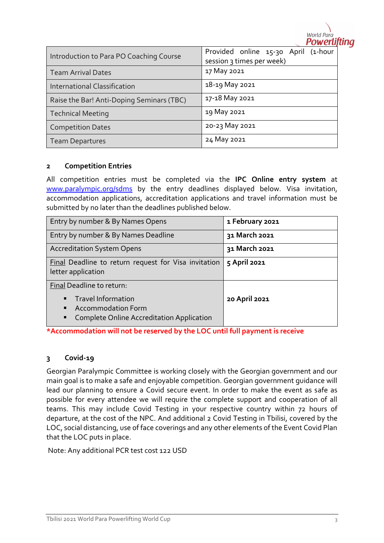

| Introduction to Para PO Coaching Course   | Provided online 15-30 April (1-hour<br>session 3 times per week) |  |  |
|-------------------------------------------|------------------------------------------------------------------|--|--|
| <b>Team Arrival Dates</b>                 | 17 May 2021                                                      |  |  |
| <b>International Classification</b>       | 18-19 May 2021                                                   |  |  |
| Raise the Bar! Anti-Doping Seminars (TBC) | 17-18 May 2021                                                   |  |  |
| <b>Technical Meeting</b>                  | 19 May 2021                                                      |  |  |
| <b>Competition Dates</b>                  | 20-23 May 2021                                                   |  |  |
| <b>Team Departures</b>                    | 24 May 2021                                                      |  |  |

#### <span id="page-2-0"></span>**2 Competition Entries**

All competition entries must be completed via the **IPC Online entry system** at [www.paralympic.org/sdms](http://www.paralympic.org/sdms) by the entry deadlines displayed below. Visa invitation, accommodation applications, accreditation applications and travel information must be submitted by no later than the deadlines published below.

| Entry by number & By Names Opens                                                                                                      | 1 February 2021 |  |
|---------------------------------------------------------------------------------------------------------------------------------------|-----------------|--|
| Entry by number & By Names Deadline                                                                                                   | 31 March 2021   |  |
| <b>Accreditation System Opens</b>                                                                                                     | 31 March 2021   |  |
| Final Deadline to return request for Visa invitation<br>letter application                                                            | 5 April 2021    |  |
| Final Deadline to return:                                                                                                             |                 |  |
| Travel Information<br>$\blacksquare$<br><b>Accommodation Form</b><br>$\blacksquare$<br>Complete Online Accreditation Application<br>٠ | 20 April 2021   |  |

**\*Accommodation will not be reserved by the LOC until full payment is receive**

#### <span id="page-2-1"></span>**3 Covid-19**

Georgian Paralympic Committee is working closely with the Georgian government and our main goal is to make a safe and enjoyable competition. Georgian government guidance will lead our planning to ensure a Covid secure event. In order to make the event as safe as possible for every attendee we will require the complete support and cooperation of all teams. This may include Covid Testing in your respective country within 72 hours of departure, at the cost of the NPC. And additional 2 Covid Testing in Tbilisi, covered by the LOC, social distancing, use of face coverings and any other elements of the Event Covid Plan that the LOC puts in place.

Note: Any additional PCR test cost 122 USD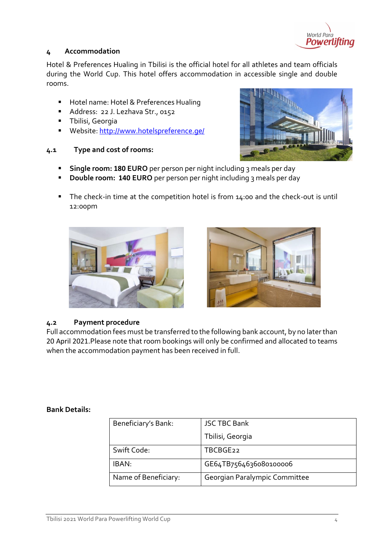

# <span id="page-3-0"></span>**4 Accommodation**

Hotel & Preferences Hualing in Tbilisi is the official hotel for all athletes and team officials during the World Cup. This hotel offers accommodation in accessible single and double rooms.

- Hotel name: Hotel & Preferences Hualing
- Address: 22 J. Lezhava Str., 0152
- Tbilisi, Georgia
- Website:<http://www.hotelspreference.ge/>

# <span id="page-3-1"></span>**4.1 Type and cost of rooms:**



- **EXTERN 180 EURO** per person per night including 3 meals per day
- **Double room: 140 EURO** per person per night including 3 meals per day
- The check-in time at the competition hotel is from 14:00 and the check-out is until 12:00pm





#### <span id="page-3-2"></span>**4.2 Payment procedure**

Full accommodation fees must be transferred to the following bank account, by no later than 20 April 2021.Please note that room bookings will only be confirmed and allocated to teams when the accommodation payment has been received in full.

#### **Bank Details:**

| Beneficiary's Bank:  | <b>JSC TBC Bank</b>           |
|----------------------|-------------------------------|
|                      | Tbilisi, Georgia              |
| Swift Code:          | TBCBGE <sub>22</sub>          |
| IBAN:                | GE64TB7564636080100006        |
| Name of Beneficiary: | Georgian Paralympic Committee |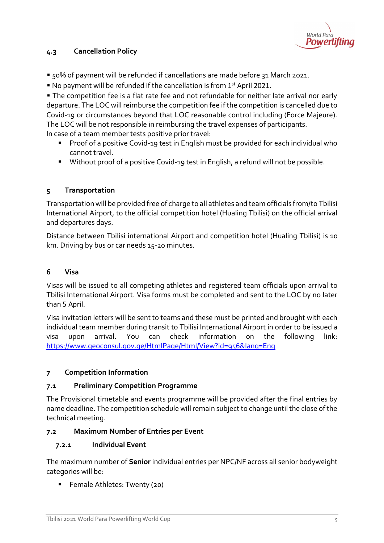

# <span id="page-4-0"></span>**4.3 Cancellation Policy**

- 50% of payment will be refunded if cancellations are made before 31 March 2021.
- No payment will be refunded if the cancellation is from 1<sup>st</sup> April 2021.

**• The competition fee is a flat rate fee and not refundable for neither late arrival nor early** departure. The LOC will reimburse the competition fee if the competition is cancelled due to Covid-19 or circumstances beyond that LOC reasonable control including (Force Majeure). The LOC will be not responsible in reimbursing the travel expenses of participants. In case of a team member tests positive prior travel:

- Proof of a positive Covid-19 test in English must be provided for each individual who cannot travel.
- Without proof of a positive Covid-19 test in English, a refund will not be possible.

# <span id="page-4-1"></span>**5 Transportation**

Transportation will be provided free of charge to all athletes and team officials from/to Tbilisi International Airport, to the official competition hotel (Hualing Tbilisi) on the official arrival and departures days.

Distance between Tbilisi international Airport and competition hotel (Hualing Tbilisi) is 10 km. Driving by bus or car needs 15-20 minutes.

#### <span id="page-4-2"></span>**6 Visa**

Visas will be issued to all competing athletes and registered team officials upon arrival to Tbilisi International Airport. Visa forms must be completed and sent to the LOC by no later than 5 April.

Visa invitation letters will be sent to teams and these must be printed and brought with each individual team member during transit to Tbilisi International Airport in order to be issued a visa upon arrival. You can check information on the following link: <https://www.geoconsul.gov.ge/HtmlPage/Html/View?id=956&lang=Eng>

#### <span id="page-4-3"></span>**7 Competition Information**

#### <span id="page-4-4"></span>**7.1 Preliminary Competition Programme**

The Provisional timetable and events programme will be provided after the final entries by name deadline. The competition schedule will remain subject to change until the close of the technical meeting.

#### <span id="page-4-5"></span>**7.2 Maximum Number of Entries per Event**

#### <span id="page-4-6"></span>**7.2.1 Individual Event**

The maximum number of **Senior** individual entries per NPC/NF across all senior bodyweight categories will be:

■ Female Athletes: Twenty (20)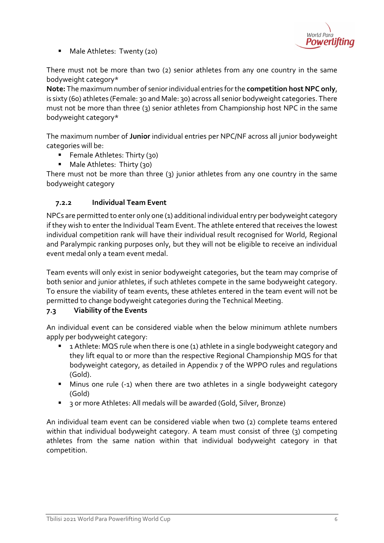

■ Male Athletes: Twenty (20)

There must not be more than two (2) senior athletes from any one country in the same bodyweight category\*

**Note:** The maximum number of senior individual entries for the **competition host NPC only**, is sixty (60) athletes (Female: 30 and Male: 30) across all senior bodyweight categories. There must not be more than three (3) senior athletes from Championship host NPC in the same bodyweight category\*

The maximum number of **Junior** individual entries per NPC/NF across all junior bodyweight categories will be:

- Female Athletes: Thirty (30)
- Male Athletes: Thirty (30)

There must not be more than three (3) junior athletes from any one country in the same bodyweight category

# <span id="page-5-0"></span>**7.2.2 Individual Team Event**

NPCs are permitted to enter only one (1) additional individual entry per bodyweight category if they wish to enter the Individual Team Event. The athlete entered that receives the lowest individual competition rank will have their individual result recognised for World, Regional and Paralympic ranking purposes only, but they will not be eligible to receive an individual event medal only a team event medal.

Team events will only exist in senior bodyweight categories, but the team may comprise of both senior and junior athletes, if such athletes compete in the same bodyweight category. To ensure the viability of team events, these athletes entered in the team event will not be permitted to change bodyweight categories during the Technical Meeting.

# <span id="page-5-1"></span>**7.3 Viability of the Events**

An individual event can be considered viable when the below minimum athlete numbers apply per bodyweight category:

- 1 Athlete: MQS rule when there is one (1) athlete in a single bodyweight category and they lift equal to or more than the respective Regional Championship MQS for that bodyweight category, as detailed in Appendix 7 of the WPPO rules and regulations (Gold).
- Minus one rule (-1) when there are two athletes in a single bodyweight category (Gold)
- 3 or more Athletes: All medals will be awarded (Gold, Silver, Bronze)

An individual team event can be considered viable when two (2) complete teams entered within that individual bodyweight category. A team must consist of three (3) competing athletes from the same nation within that individual bodyweight category in that competition.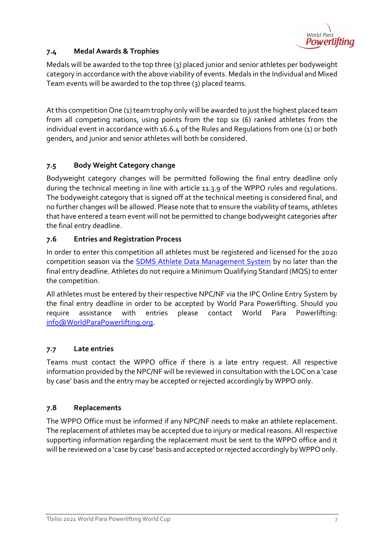

# <span id="page-6-0"></span>**7.4 Medal Awards & Trophies**

Medals will be awarded to the top three (3) placed junior and senior athletes per bodyweight category in accordance with the above viability of events. Medals in the Individual and Mixed Team events will be awarded to the top three (3) placed teams.

At this competition One (1) team trophy only will be awarded to just the highest placed team from all competing nations, using points from the top six (6) ranked athletes from the individual event in accordance with 16.6.4 of the Rules and Regulations from one (1) or both genders, and junior and senior athletes will both be considered.

# <span id="page-6-1"></span>**7.5 Body Weight Category change**

Bodyweight category changes will be permitted following the final entry deadline only during the technical meeting in line with article 11.3.9 of the WPPO rules and regulations. The bodyweight category that is signed off at the technical meeting is considered final, and no further changes will be allowed. Please note that to ensure the viability of teams, athletes that have entered a team event will not be permitted to change bodyweight categories after the final entry deadline.

# <span id="page-6-2"></span>**7.6 Entries and Registration Process**

In order to enter this competition all athletes must be registered and licensed for the 2020 competition season via the [SDMS Athlete Data Management System](http://www.paralympic.org/sdms) by no later than the final entry deadline. Athletes do not require a Minimum Qualifying Standard (MQS) to enter the competition.

All athletes must be entered by their respective NPC/NF via the IPC Online Entry System by the final entry deadline in order to be accepted by World Para Powerlifting. Should you require assistance with entries please contact World Para Powerlifting: [info@WorldParaPowerlifting.org.](mailto:info@WorldParaPowerlifting.org)

# <span id="page-6-3"></span>**7.7 Late entries**

Teams must contact the WPPO office if there is a late entry request. All respective information provided by the NPC/NF will be reviewed in consultation with the LOC on a 'case by case' basis and the entry may be accepted or rejected accordingly by WPPO only.

# <span id="page-6-4"></span>**7.8 Replacements**

The WPPO Office must be informed if any NPC/NF needs to make an athlete replacement. The replacement of athletes may be accepted due to injury or medical reasons. All respective supporting information regarding the replacement must be sent to the WPPO office and it will be reviewed on a 'case by case' basis and accepted or rejected accordingly by WPPO only.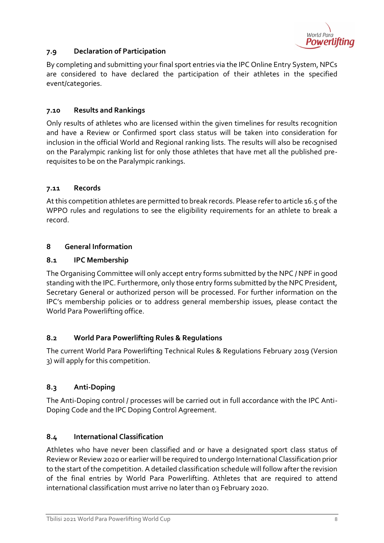

# <span id="page-7-0"></span>**7.9 Declaration of Participation**

By completing and submitting your final sport entries via the IPC Online Entry System, NPCs are considered to have declared the participation of their athletes in the specified event/categories.

# <span id="page-7-1"></span>**7.10 Results and Rankings**

Only results of athletes who are licensed within the given timelines for results recognition and have a Review or Confirmed sport class status will be taken into consideration for inclusion in the official World and Regional ranking lists. The results will also be recognised on the Paralympic ranking list for only those athletes that have met all the published prerequisites to be on the Paralympic rankings.

# <span id="page-7-2"></span>**7.11 Records**

At this competition athletes are permitted to break records. Please refer to article 16.5 of the WPPO rules and regulations to see the eligibility requirements for an athlete to break a record.

# <span id="page-7-3"></span>**8 General Information**

#### <span id="page-7-4"></span>**8.1 IPC Membership**

The Organising Committee will only accept entry forms submitted by the NPC / NPF in good standing with the IPC. Furthermore, only those entry forms submitted by the NPC President, Secretary General or authorized person will be processed. For further information on the IPC's membership policies or to address general membership issues, please contact the World Para Powerlifting office.

#### <span id="page-7-5"></span>**8.2 World Para Powerlifting Rules & Regulations**

The current World Para Powerlifting Technical Rules & Regulations February 2019 (Version 3) will apply for this competition.

# <span id="page-7-6"></span>**8.3 Anti-Doping**

The Anti-Doping control / processes will be carried out in full accordance with the IPC Anti-Doping Code and the IPC Doping Control Agreement.

# <span id="page-7-7"></span>**8.4 International Classification**

Athletes who have never been classified and or have a designated sport class status of Review or Review 2020 or earlier will be required to undergo International Classification prior to the start of the competition. A detailed classification schedule will follow after the revision of the final entries by World Para Powerlifting. Athletes that are required to attend international classification must arrive no later than 03 February 2020.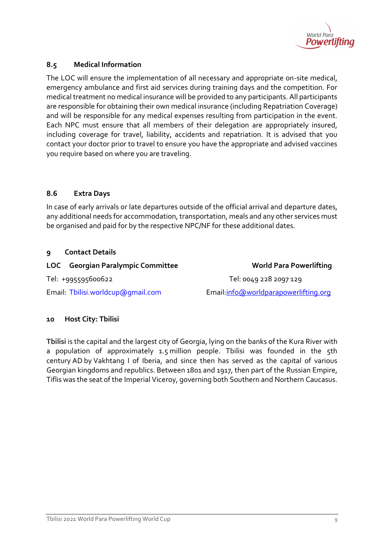

# <span id="page-8-0"></span>**8.5 Medical Information**

The LOC will ensure the implementation of all necessary and appropriate on-site medical, emergency ambulance and first aid services during training days and the competition. For medical treatment no medical insurance will be provided to any participants. All participants are responsible for obtaining their own medical insurance (including Repatriation Coverage) and will be responsible for any medical expenses resulting from participation in the event. Each NPC must ensure that all members of their delegation are appropriately insured, including coverage for travel, liability, accidents and repatriation. It is advised that you contact your doctor prior to travel to ensure you have the appropriate and advised vaccines you require based on where you are traveling.

#### <span id="page-8-1"></span>**8.6 Extra Days**

In case of early arrivals or late departures outside of the official arrival and departure dates, any additional needs for accommodation, transportation, meals and any other services must be organised and paid for by the respective NPC/NF for these additional dates.

#### <span id="page-8-2"></span>**9 Contact Details**

#### **LOC Georgian Paralympic Committee World Para Powerlifting**

Tel: +995595600622 Tel: 0049 228 2097 129

Email: Tbilisi.worldcup@gmail.com Email[:info@worldparapowerlifting.org](mailto:info@worldparapowerlifting.org)

# **10 Host City: Tbilisi**

**Tbilisi** is the capital and the largest city of Georgia, lying on the banks of the [Kura River](https://en.wikipedia.org/wiki/Kura_(Caspian_Sea)) with a population of approximately 1.5 million people. Tbilisi was founded in the 5th century [AD](https://en.wikipedia.org/wiki/Anno_Domini) by [Vakhtang I of Iberia,](https://en.wikipedia.org/wiki/Vakhtang_I_of_Iberia) and since then has served as the capital of various Georgian kingdoms and republics. Between 1801 and 1917, then part of the [Russian Empire,](https://en.wikipedia.org/wiki/Russian_Empire) Tiflis was the seat of the [Imperial Viceroy,](https://en.wikipedia.org/wiki/Caucasus_Viceroyalty_(1801%E2%80%931917)) governing both [Southern](https://en.wikipedia.org/wiki/Transcaucasia) and [Northern](https://en.wikipedia.org/wiki/North_Caucasus) [Caucasus.](https://en.wikipedia.org/wiki/Caucasus)